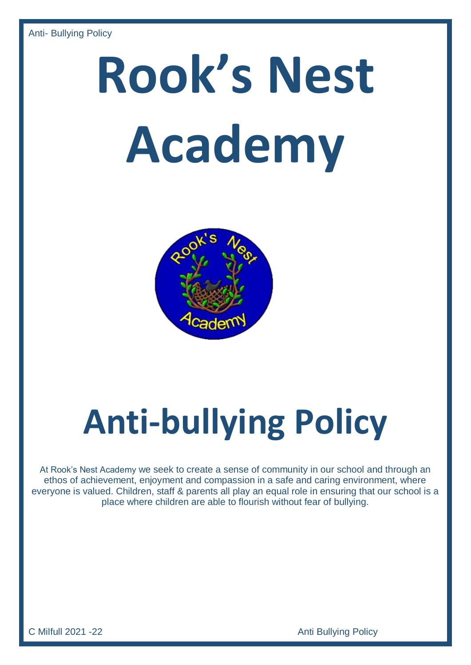# **Rook's Nest Academy**



## **Anti-bullying Policy**

At Rook's Nest Academy we seek to create a sense of community in our school and through an ethos of achievement, enjoyment and compassion in a safe and caring environment, where everyone is valued. Children, staff & parents all play an equal role in ensuring that our school is a place where children are able to flourish without fear of bullying.

C Milfull 2021 -22 **C Milfull 2021 -22**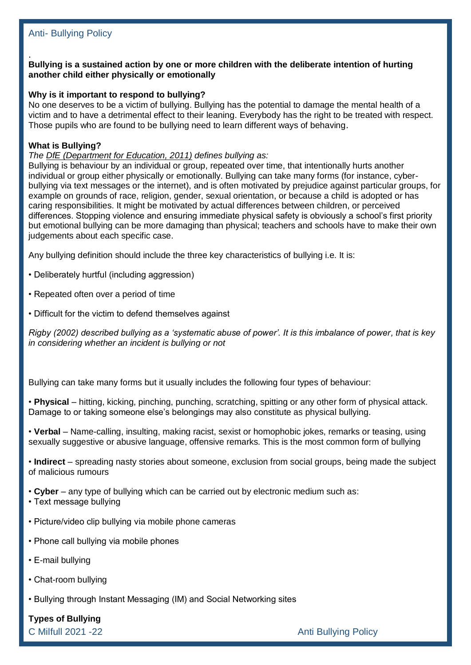#### . **Bullying is a sustained action by one or more children with the deliberate intention of hurting another child either physically or emotionally**

#### **Why is it important to respond to bullying?**

No one deserves to be a victim of bullying. Bullying has the potential to damage the mental health of a victim and to have a detrimental effect to their leaning. Everybody has the right to be treated with respect. Those pupils who are found to be bullying need to learn different ways of behaving.

#### **What is Bullying?**

#### *The DfE [\(Department](http://www.schools.norfolk.gov.uk/nccdfs1/CS-FS1/Information%20Management/Information%20Research%20Centre/Reporting/view/NCC099027) for Education, 2011) defines bullying as:*

Bullying is behaviour by an individual or group, repeated over time, that intentionally hurts another individual or group either physically or emotionally. Bullying can take many forms (for instance, cyberbullying via text messages or the internet), and is often motivated by prejudice against particular groups, for example on grounds of race, religion, gender, sexual orientation, or because a child is adopted or has caring responsibilities. It might be motivated by actual differences between children, or perceived differences. Stopping violence and ensuring immediate physical safety is obviously a school's first priority but emotional bullying can be more damaging than physical; teachers and schools have to make their own judgements about each specific case.

Any bullying definition should include the three key characteristics of bullying i.e. It is:

- Deliberately hurtful (including aggression)
- Repeated often over a period of time
- Difficult for the victim to defend themselves against

*Rigby (2002) described bullying as a 'systematic abuse of power'. It is this imbalance of power, that is key in considering whether an incident is bullying or not*

Bullying can take many forms but it usually includes the following four types of behaviour:

• **Physical** – hitting, kicking, pinching, punching, scratching, spitting or any other form of physical attack. Damage to or taking someone else's belongings may also constitute as physical bullying.

• **Verbal** – Name-calling, insulting, making racist, sexist or homophobic jokes, remarks or teasing, using sexually suggestive or abusive language, offensive remarks. This is the most common form of bullying

• **Indirect** – spreading nasty stories about someone, exclusion from social groups, being made the subject of malicious rumours

- **Cyber** any type of bullying which can be carried out by electronic medium such as:
- Text message bullying
- Picture/video clip bullying via mobile phone cameras
- Phone call bullying via mobile phones
- E-mail bullying
- Chat-room bullying
- Bullying through Instant Messaging (IM) and Social Networking sites

**Types of Bullying** 

C Milfull 2021 -22 **C Milfull 2021 -22**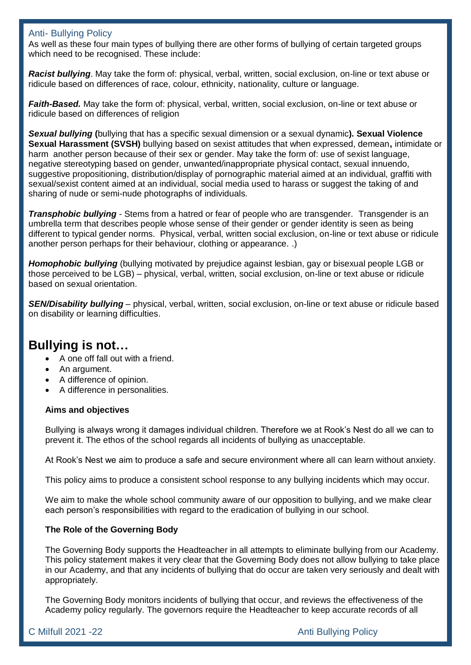As well as these four main types of bullying there are other forms of bullying of certain targeted groups which need to be recognised. These include:

*Racist bullying*. May take the form of: physical, verbal, written, social exclusion, on-line or text abuse or ridicule based on differences of race, colour, ethnicity, nationality, culture or language.

*Faith-Based.* May take the form of: physical, verbal, written, social exclusion, on-line or text abuse or ridicule based on differences of religion

*Sexual bullying* **(**bullying that has a specific sexual dimension or a sexual dynamic**). Sexual Violence Sexual Harassment (SVSH)** bullying based on sexist attitudes that when expressed, demean**,** intimidate or harm another person because of their sex or gender. May take the form of: use of sexist language, negative stereotyping based on gender, unwanted/inappropriate physical contact, sexual innuendo, suggestive propositioning, distribution/display of pornographic material aimed at an individual, graffiti with sexual/sexist content aimed at an individual, social media used to harass or suggest the taking of and sharing of nude or semi-nude photographs of individuals.

*Transphobic bullying* - Stems from a hatred or fear of people who are transgender. Transgender is an umbrella term that describes people whose sense of their gender or gender identity is seen as being different to typical gender norms. Physical, verbal, written social exclusion, on-line or text abuse or ridicule another person perhaps for their behaviour, clothing or appearance. .)

*Homophobic bullying* (bullying motivated by prejudice against lesbian, gay or bisexual people LGB or those perceived to be LGB) – physical, verbal, written, social exclusion, on-line or text abuse or ridicule based on sexual orientation.

*SEN/Disability bullying* – physical, verbal, written, social exclusion, on-line or text abuse or ridicule based on disability or learning difficulties.

### **Bullying is not…**

- A one off fall out with a friend.
- An argument.
- A difference of opinion.
- A difference in personalities.

#### **Aims and objectives**

Bullying is always wrong it damages individual children. Therefore we at Rook's Nest do all we can to prevent it. The ethos of the school regards all incidents of bullying as unacceptable.

At Rook's Nest we aim to produce a safe and secure environment where all can learn without anxiety.

This policy aims to produce a consistent school response to any bullying incidents which may occur.

We aim to make the whole school community aware of our opposition to bullying, and we make clear each person's responsibilities with regard to the eradication of bullying in our school.

#### **The Role of the Governing Body**

The Governing Body supports the Headteacher in all attempts to eliminate bullying from our Academy. This policy statement makes it very clear that the Governing Body does not allow bullying to take place in our Academy, and that any incidents of bullying that do occur are taken very seriously and dealt with appropriately.

The Governing Body monitors incidents of bullying that occur, and reviews the effectiveness of the Academy policy regularly. The governors require the Headteacher to keep accurate records of all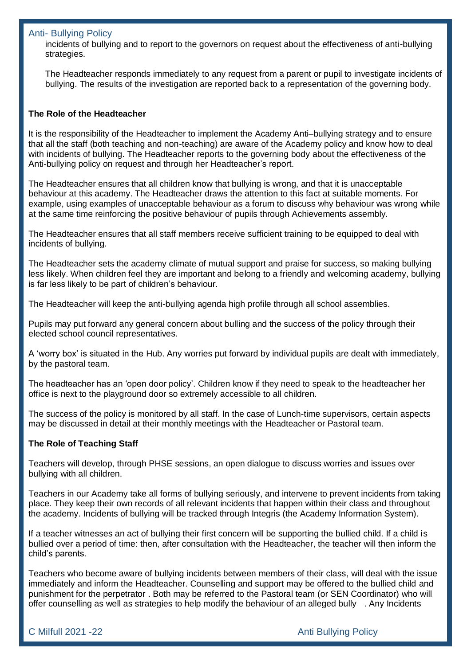incidents of bullying and to report to the governors on request about the effectiveness of anti-bullying strategies.

The Headteacher responds immediately to any request from a parent or pupil to investigate incidents of bullying. The results of the investigation are reported back to a representation of the governing body.

#### **The Role of the Headteacher**

It is the responsibility of the Headteacher to implement the Academy Anti–bullying strategy and to ensure that all the staff (both teaching and non-teaching) are aware of the Academy policy and know how to deal with incidents of bullying. The Headteacher reports to the governing body about the effectiveness of the Anti-bullying policy on request and through her Headteacher's report.

The Headteacher ensures that all children know that bullying is wrong, and that it is unacceptable behaviour at this academy. The Headteacher draws the attention to this fact at suitable moments. For example, using examples of unacceptable behaviour as a forum to discuss why behaviour was wrong while at the same time reinforcing the positive behaviour of pupils through Achievements assembly.

The Headteacher ensures that all staff members receive sufficient training to be equipped to deal with incidents of bullying.

The Headteacher sets the academy climate of mutual support and praise for success, so making bullying less likely. When children feel they are important and belong to a friendly and welcoming academy, bullying is far less likely to be part of children's behaviour.

The Headteacher will keep the anti-bullying agenda high profile through all school assemblies.

Pupils may put forward any general concern about bulling and the success of the policy through their elected school council representatives.

A 'worry box' is situated in the Hub. Any worries put forward by individual pupils are dealt with immediately, by the pastoral team.

The headteacher has an 'open door policy'. Children know if they need to speak to the headteacher her office is next to the playground door so extremely accessible to all children.

The success of the policy is monitored by all staff. In the case of Lunch-time supervisors, certain aspects may be discussed in detail at their monthly meetings with the Headteacher or Pastoral team.

#### **The Role of Teaching Staff**

Teachers will develop, through PHSE sessions, an open dialogue to discuss worries and issues over bullying with all children.

Teachers in our Academy take all forms of bullying seriously, and intervene to prevent incidents from taking place. They keep their own records of all relevant incidents that happen within their class and throughout the academy. Incidents of bullying will be tracked through Integris (the Academy Information System).

If a teacher witnesses an act of bullying their first concern will be supporting the bullied child. If a child is bullied over a period of time: then, after consultation with the Headteacher, the teacher will then inform the child's parents.

Teachers who become aware of bullying incidents between members of their class, will deal with the issue immediately and inform the Headteacher. Counselling and support may be offered to the bullied child and punishment for the perpetrator . Both may be referred to the Pastoral team (or SEN Coordinator) who will offer counselling as well as strategies to help modify the behaviour of an alleged bully . Any Incidents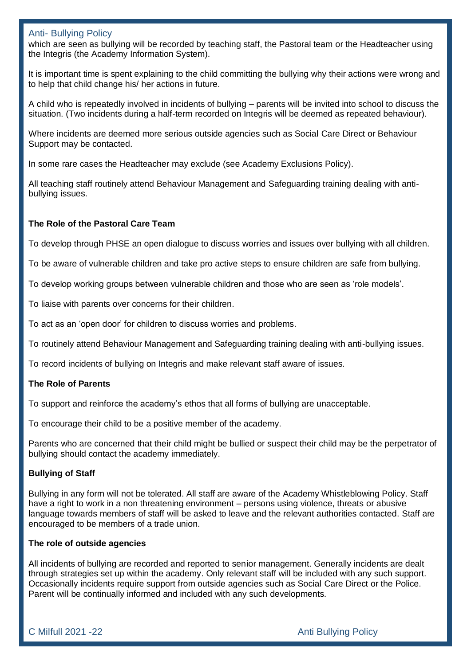which are seen as bullying will be recorded by teaching staff, the Pastoral team or the Headteacher using the Integris (the Academy Information System).

It is important time is spent explaining to the child committing the bullying why their actions were wrong and to help that child change his/ her actions in future.

A child who is repeatedly involved in incidents of bullying – parents will be invited into school to discuss the situation. (Two incidents during a half-term recorded on Integris will be deemed as repeated behaviour).

Where incidents are deemed more serious outside agencies such as Social Care Direct or Behaviour Support may be contacted.

In some rare cases the Headteacher may exclude (see Academy Exclusions Policy).

All teaching staff routinely attend Behaviour Management and Safeguarding training dealing with antibullying issues.

#### **The Role of the Pastoral Care Team**

To develop through PHSE an open dialogue to discuss worries and issues over bullying with all children.

To be aware of vulnerable children and take pro active steps to ensure children are safe from bullying.

To develop working groups between vulnerable children and those who are seen as 'role models'.

To liaise with parents over concerns for their children.

To act as an 'open door' for children to discuss worries and problems.

To routinely attend Behaviour Management and Safeguarding training dealing with anti-bullying issues.

To record incidents of bullying on Integris and make relevant staff aware of issues.

#### **The Role of Parents**

To support and reinforce the academy's ethos that all forms of bullying are unacceptable.

To encourage their child to be a positive member of the academy.

Parents who are concerned that their child might be bullied or suspect their child may be the perpetrator of bullying should contact the academy immediately.

#### **Bullying of Staff**

Bullying in any form will not be tolerated. All staff are aware of the Academy Whistleblowing Policy. Staff have a right to work in a non threatening environment – persons using violence, threats or abusive language towards members of staff will be asked to leave and the relevant authorities contacted. Staff are encouraged to be members of a trade union.

#### **The role of outside agencies**

All incidents of bullying are recorded and reported to senior management. Generally incidents are dealt through strategies set up within the academy. Only relevant staff will be included with any such support. Occasionally incidents require support from outside agencies such as Social Care Direct or the Police. Parent will be continually informed and included with any such developments.